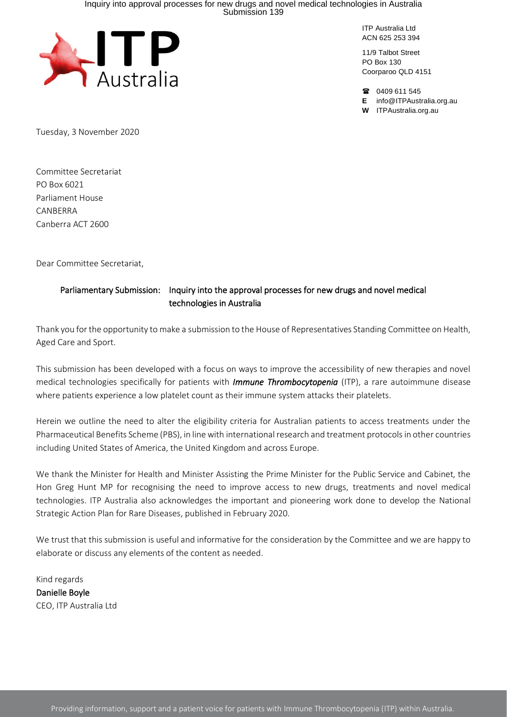# Inquiry into approval processes for new drugs and novel medical technologies in Australia Submission 139



ITP Australia Ltd ACN 625 253 394

11/9 Talbot Street PO Box 130 Coorparoo QLD 4151

18 0409 611 545

**E** info@ITPAustralia.org.au

**W** [ITPAustralia.org.au](http://qnv.com.au/)

Tuesday, 3 November 2020

Committee Secretariat PO Box 6021 Parliament House CANBERRA Canberra ACT 2600

Dear Committee Secretariat,

#### Parliamentary Submission: Inquiry into the approval processes for new drugs and novel medical technologies in Australia

Thank you for the opportunity to make a submission to the House of Representatives Standing Committee on Health, Aged Care and Sport.

This submission has been developed with a focus on ways to improve the accessibility of new therapies and novel medical technologies specifically for patients with *Immune Thrombocytopenia* (ITP), a rare autoimmune disease where patients experience a low platelet count as their immune system attacks their platelets.

Herein we outline the need to alter the eligibility criteria for Australian patients to access treatments under the Pharmaceutical Benefits Scheme (PBS), in line with international research and treatment protocols in other countries including United States of America, the United Kingdom and across Europe.

We thank the Minister for Health and Minister Assisting the Prime Minister for the Public Service and Cabinet, the Hon Greg Hunt MP for recognising the need to improve access to new drugs, treatments and novel medical technologies. ITP Australia also acknowledges the important and pioneering work done to develop the National Strategic Action Plan for Rare Diseases, published in February 2020.

We trust that this submission is useful and informative for the consideration by the Committee and we are happy to elaborate or discuss any elements of the content as needed.

Kind regards Danielle Boyle CEO, ITP Australia Ltd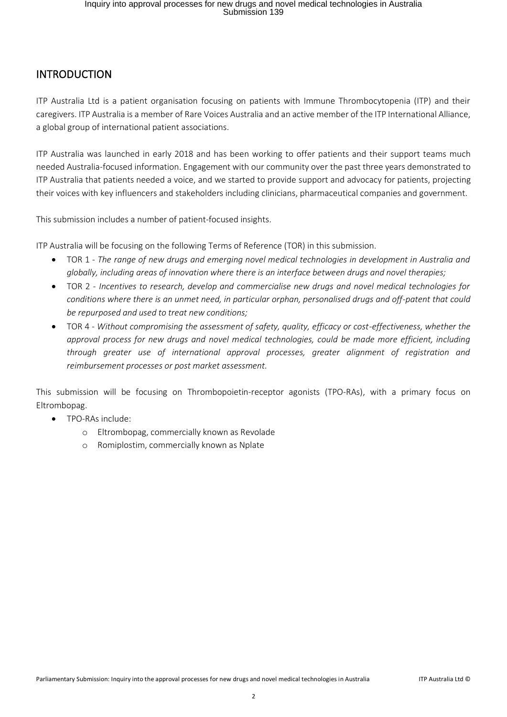### INTRODUCTION

ITP Australia Ltd is a patient organisation focusing on patients with Immune Thrombocytopenia (ITP) and their caregivers. ITP Australia is a member of Rare Voices Australia and an active member of the ITP International Alliance, a global group of international patient associations.

ITP Australia was launched in early 2018 and has been working to offer patients and their support teams much needed Australia-focused information. Engagement with our community over the past three years demonstrated to ITP Australia that patients needed a voice, and we started to provide support and advocacy for patients, projecting their voices with key influencers and stakeholders including clinicians, pharmaceutical companies and government.

This submission includes a number of patient-focused insights.

ITP Australia will be focusing on the following Terms of Reference (TOR) in this submission.

- TOR 1 *The range of new drugs and emerging novel medical technologies in development in Australia and globally, including areas of innovation where there is an interface between drugs and novel therapies;*
- TOR 2 *Incentives to research, develop and commercialise new drugs and novel medical technologies for conditions where there is an unmet need, in particular orphan, personalised drugs and off-patent that could be repurposed and used to treat new conditions;*
- TOR 4 *Without compromising the assessment of safety, quality, efficacy or cost-effectiveness, whether the approval process for new drugs and novel medical technologies, could be made more efficient, including through greater use of international approval processes, greater alignment of registration and reimbursement processes or post market assessment.*

This submission will be focusing on Thrombopoietin-receptor agonists (TPO-RAs), with a primary focus on Eltrombopag.

- TPO-RAs include:
	- o Eltrombopag, commercially known as Revolade
	- o Romiplostim, commercially known as Nplate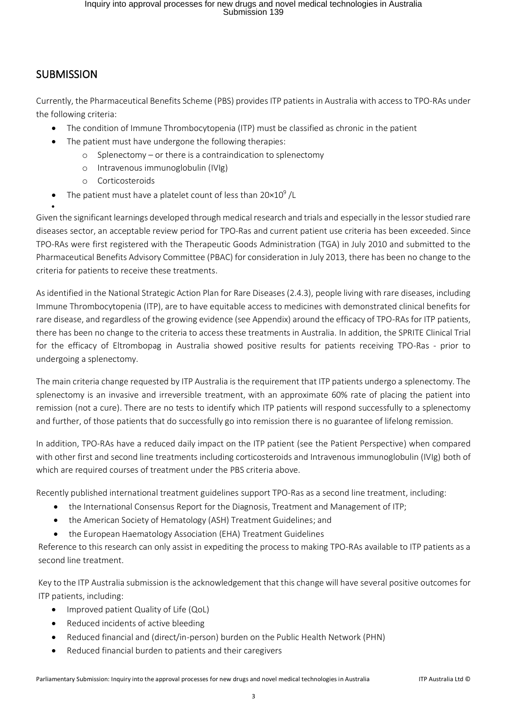# **SUBMISSION**

•

Currently, the Pharmaceutical Benefits Scheme (PBS) provides ITP patients in Australia with access to TPO-RAs under the following criteria:

- The condition of Immune Thrombocytopenia (ITP) must be classified as chronic in the patient
- The patient must have undergone the following therapies:
	- o Splenectomy or there is a contraindication to splenectomy
	- o Intravenous immunoglobulin (IVIg)
	- o Corticosteroids
- The patient must have a platelet count of less than  $20 \times 10^9$  /L

Given the significant learnings developed through medical research and trials and especially in the lessor studied rare diseases sector, an acceptable review period for TPO-Ras and current patient use criteria has been exceeded. Since TPO-RAs were first registered with the Therapeutic Goods Administration (TGA) in July 2010 and submitted to the Pharmaceutical Benefits Advisory Committee (PBAC) for consideration in July 2013, there has been no change to the criteria for patients to receive these treatments.

As identified in the National Strategic Action Plan for Rare Diseases (2.4.3), people living with rare diseases, including Immune Thrombocytopenia (ITP), are to have equitable access to medicines with demonstrated clinical benefits for rare disease, and regardless of the growing evidence (see Appendix) around the efficacy of TPO-RAs for ITP patients, there has been no change to the criteria to access these treatments in Australia. In addition, the SPRITE Clinical Trial for the efficacy of Eltrombopag in Australia showed positive results for patients receiving TPO-Ras - prior to undergoing a splenectomy.

The main criteria change requested by ITP Australia is the requirement that ITP patients undergo a splenectomy. The splenectomy is an invasive and irreversible treatment, with an approximate 60% rate of placing the patient into remission (not a cure). There are no tests to identify which ITP patients will respond successfully to a splenectomy and further, of those patients that do successfully go into remission there is no guarantee of lifelong remission.

In addition, TPO-RAs have a reduced daily impact on the ITP patient (see the Patient Perspective) when compared with other first and second line treatments including corticosteroids and Intravenous immunoglobulin (IVIg) both of which are required courses of treatment under the PBS criteria above.

Recently published international treatment guidelines support TPO-Ras as a second line treatment, including:

- the International Consensus Report for the Diagnosis, Treatment and Management of ITP;
- the American Society of Hematology (ASH) Treatment Guidelines; and
- the European Haematology Association (EHA) Treatment Guidelines

Reference to this research can only assist in expediting the process to making TPO-RAs available to ITP patients as a second line treatment.

Key to the ITP Australia submission is the acknowledgement that this change will have several positive outcomes for ITP patients, including:

- Improved patient Quality of Life (QoL)
- Reduced incidents of active bleeding
- Reduced financial and (direct/in-person) burden on the Public Health Network (PHN)
- Reduced financial burden to patients and their caregivers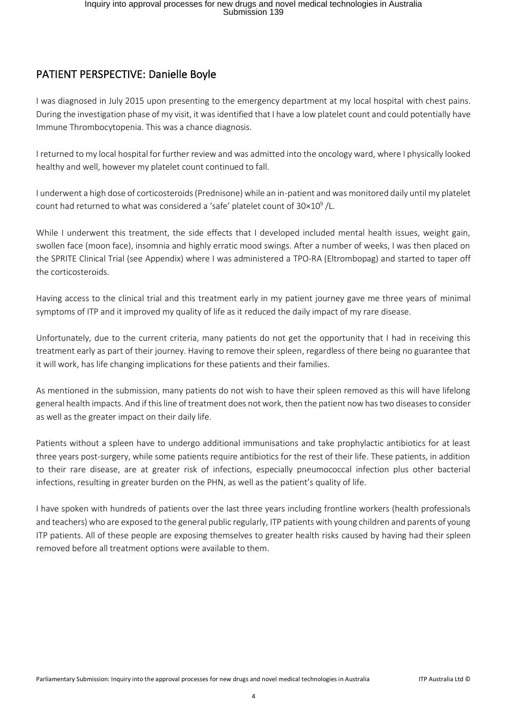# PATIENT PERSPECTIVE: Danielle Boyle

I was diagnosed in July 2015 upon presenting to the emergency department at my local hospital with chest pains. During the investigation phase of my visit, it was identified that I have a low platelet count and could potentially have Immune Thrombocytopenia. This was a chance diagnosis.

I returned to my local hospital for further review and was admitted into the oncology ward, where I physically looked healthy and well, however my platelet count continued to fall.

I underwent a high dose of corticosteroids (Prednisone) while an in-patient and was monitored daily until my platelet count had returned to what was considered a 'safe' platelet count of 30 $\times10^9$  /L.

While I underwent this treatment, the side effects that I developed included mental health issues, weight gain, swollen face (moon face), insomnia and highly erratic mood swings. After a number of weeks, I was then placed on the SPRITE Clinical Trial (see Appendix) where I was administered a TPO-RA (Eltrombopag) and started to taper off the corticosteroids.

Having access to the clinical trial and this treatment early in my patient journey gave me three years of minimal symptoms of ITP and it improved my quality of life as it reduced the daily impact of my rare disease.

Unfortunately, due to the current criteria, many patients do not get the opportunity that I had in receiving this treatment early as part of their journey. Having to remove their spleen, regardless of there being no guarantee that it will work, has life changing implications for these patients and their families.

As mentioned in the submission, many patients do not wish to have their spleen removed as this will have lifelong general health impacts. And if this line of treatment does not work, then the patient now has two diseases to consider as well as the greater impact on their daily life.

Patients without a spleen have to undergo additional immunisations and take prophylactic antibiotics for at least three years post-surgery, while some patients require antibiotics for the rest of their life. These patients, in addition to their rare disease, are at greater risk of infections, especially pneumococcal infection plus other bacterial infections, resulting in greater burden on the PHN, as well as the patient's quality of life.

I have spoken with hundreds of patients over the last three years including frontline workers (health professionals and teachers) who are exposed to the general public regularly, ITP patients with young children and parents of young ITP patients. All of these people are exposing themselves to greater health risks caused by having had their spleen removed before all treatment options were available to them.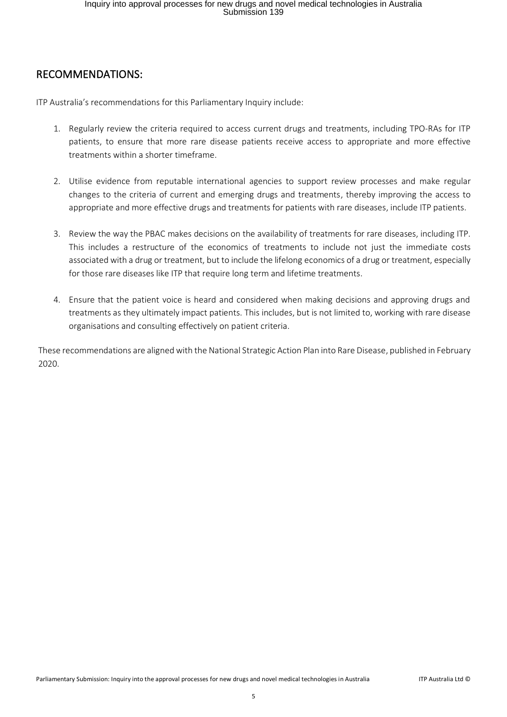### RECOMMENDATIONS:

ITP Australia's recommendations for this Parliamentary Inquiry include:

- 1. Regularly review the criteria required to access current drugs and treatments, including TPO-RAs for ITP patients, to ensure that more rare disease patients receive access to appropriate and more effective treatments within a shorter timeframe.
- 2. Utilise evidence from reputable international agencies to support review processes and make regular changes to the criteria of current and emerging drugs and treatments, thereby improving the access to appropriate and more effective drugs and treatments for patients with rare diseases, include ITP patients.
- 3. Review the way the PBAC makes decisions on the availability of treatments for rare diseases, including ITP. This includes a restructure of the economics of treatments to include not just the immediate costs associated with a drug or treatment, but to include the lifelong economics of a drug or treatment, especially for those rare diseases like ITP that require long term and lifetime treatments.
- 4. Ensure that the patient voice is heard and considered when making decisions and approving drugs and treatments as they ultimately impact patients. This includes, but is not limited to, working with rare disease organisations and consulting effectively on patient criteria.

These recommendations are aligned with the National Strategic Action Plan into Rare Disease, published in February 2020.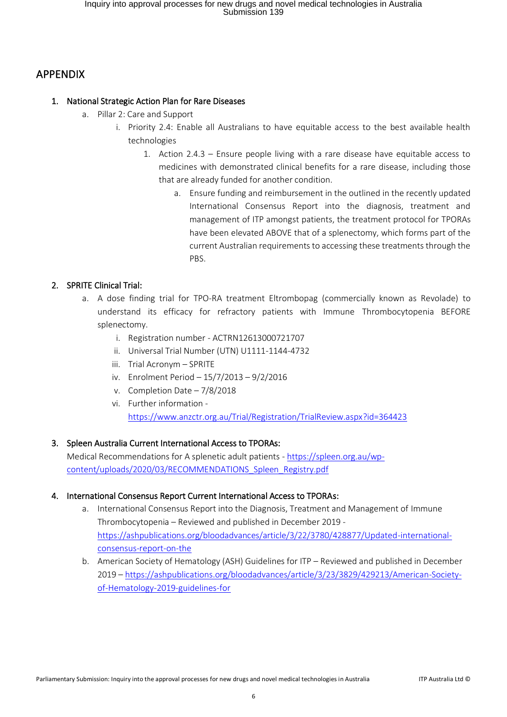## APPENDIX

#### 1. National Strategic Action Plan for Rare Diseases

- a. Pillar 2: Care and Support
	- i. Priority 2.4: Enable all Australians to have equitable access to the best available health technologies
		- 1. Action 2.4.3 Ensure people living with a rare disease have equitable access to medicines with demonstrated clinical benefits for a rare disease, including those that are already funded for another condition.
			- a. Ensure funding and reimbursement in the outlined in the recently updated International Consensus Report into the diagnosis, treatment and management of ITP amongst patients, the treatment protocol for TPORAs have been elevated ABOVE that of a splenectomy, which forms part of the current Australian requirements to accessing these treatments through the PBS.

#### 2. SPRITE Clinical Trial:

- a. A dose finding trial for TPO-RA treatment Eltrombopag (commercially known as Revolade) to understand its efficacy for refractory patients with Immune Thrombocytopenia BEFORE splenectomy.
	- i. Registration number ACTRN12613000721707
	- ii. Universal Trial Number (UTN) U1111-1144-4732
	- iii. Trial Acronym SPRITE
	- iv. Enrolment Period 15/7/2013 9/2/2016
	- v. Completion Date 7/8/2018
	- vi. Further information <https://www.anzctr.org.au/Trial/Registration/TrialReview.aspx?id=364423>

#### 3. Spleen Australia Current International Access to TPORAs:

Medical Recommendations for A splenetic adult patients - [https://spleen.org.au/wp](https://spleen.org.au/wp-content/uploads/2020/03/RECOMMENDATIONS_Spleen_Registry.pdf)[content/uploads/2020/03/RECOMMENDATIONS\\_Spleen\\_Registry.pdf](https://spleen.org.au/wp-content/uploads/2020/03/RECOMMENDATIONS_Spleen_Registry.pdf)

#### 4. International Consensus Report Current International Access to TPORAs:

- a. International Consensus Report into the Diagnosis, Treatment and Management of Immune Thrombocytopenia – Reviewed and published in December 2019 [https://ashpublications.org/bloodadvances/article/3/22/3780/428877/Updated-international](https://ashpublications.org/bloodadvances/article/3/22/3780/428877/Updated-international-consensus-report-on-the)[consensus-report-on-the](https://ashpublications.org/bloodadvances/article/3/22/3780/428877/Updated-international-consensus-report-on-the)
- b. American Society of Hematology (ASH) Guidelines for ITP Reviewed and published in December 2019 – [https://ashpublications.org/bloodadvances/article/3/23/3829/429213/American-Society](https://ashpublications.org/bloodadvances/article/3/23/3829/429213/American-Society-of-Hematology-2019-guidelines-for)[of-Hematology-2019-guidelines-for](https://ashpublications.org/bloodadvances/article/3/23/3829/429213/American-Society-of-Hematology-2019-guidelines-for)